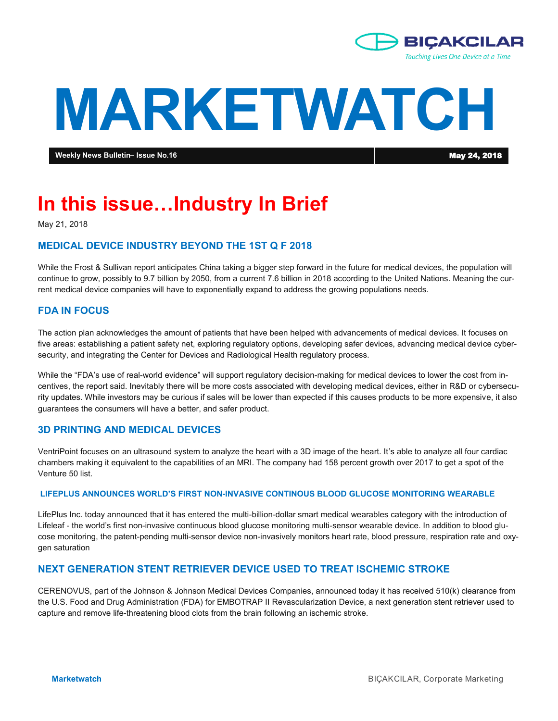

# **MARKETWATCH**

**Weekly News Bulletin– Issue No.16** May 24, 2018

## **In this issue…Industry In Brief**

May 21, 2018

#### **MEDICAL DEVICE INDUSTRY BEYOND THE 1ST Q F 2018**

While the Frost & Sullivan report anticipates China taking a bigger step forward in the future for medical devices, the population will continue to grow, possibly to 9.7 billion by 2050, from a current 7.6 billion in 2018 according to the United Nations. Meaning the current medical device companies will have to exponentially expand to address the growing populations needs.

#### **FDA IN FOCUS**

The action plan acknowledges the amount of patients that have been helped with advancements of medical devices. It focuses on five areas: establishing a patient safety net, exploring regulatory options, developing safer devices, advancing medical device cybersecurity, and integrating the Center for Devices and Radiological Health regulatory process.

While the "FDA's use of real-world evidence" will support regulatory decision-making for medical devices to lower the cost from incentives, the report said. Inevitably there will be more costs associated with developing medical devices, either in R&D or cybersecurity updates. While investors may be curious if sales will be lower than expected if this causes products to be more expensive, it also guarantees the consumers will have a better, and safer product.

#### **3D PRINTING AND MEDICAL DEVICES**

VentriPoint focuses on an ultrasound system to analyze the heart with a 3D image of the heart. It's able to analyze all four cardiac chambers making it equivalent to the capabilities of an MRI. The company had 158 percent growth over 2017 to get a spot of the Venture 50 list.

#### **LIFEPLUS ANNOUNCES WORLD'S FIRST NON-INVASIVE CONTINOUS BLOOD GLUCOSE MONITORING WEARABLE**

LifePlus Inc. today announced that it has entered the multi-billion-dollar smart medical wearables category with the introduction of Lifeleaf - the world's first non-invasive continuous blood glucose monitoring multi-sensor wearable device. In addition to blood glucose monitoring, the patent-pending multi-sensor device non-invasively monitors heart rate, blood pressure, respiration rate and oxygen saturation

#### **NEXT GENERATION STENT RETRIEVER DEVICE USED TO TREAT ISCHEMIC STROKE**

CERENOVUS, part of the Johnson & Johnson Medical Devices Companies, announced today it has received 510(k) clearance from the U.S. Food and Drug Administration (FDA) for EMBOTRAP II Revascularization Device, a next generation stent retriever used to capture and remove life-threatening blood clots from the brain following an ischemic stroke.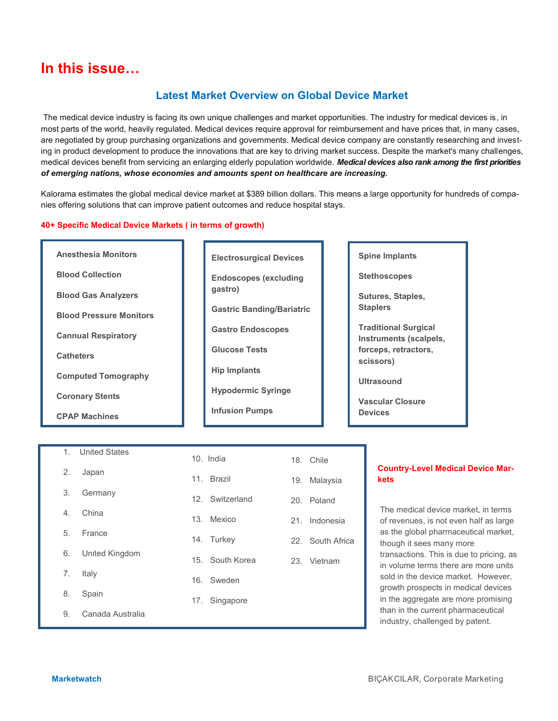### **In this issue…**

#### **Latest Market Overview on Global Device Market**

The medical device industry is facing its own unique challenges and market opportunities. The industry for medical devices is, in most parts of the world, heavily regulated. Medical devices require approval for reimbursement and have prices that, in many cases, are negotiated by group purchasing organizations and governments. Medical device company are constantly researching and investing in product development to produce the innovations that are key to driving market success. Despite the market's many challenges, medical devices benefit from servicing an enlarging elderly population worldwide. *Medical devices also rank among the first priorities of emerging nations, whose economies and amounts spent on healthcare are increasing.* 

Kalorama estimates the global medical device market at \$389 billion dollars. This means a large opportunity for hundreds of companies offering solutions that can improve patient outcomes and reduce hospital stays.

#### **40+ Specific Medical Device Markets ( in terms of growth)**

| <b>Anesthesia Monitors</b>     |  |
|--------------------------------|--|
| <b>Blood Collection</b>        |  |
| <b>Blood Gas Analyzers</b>     |  |
| <b>Blood Pressure Monitors</b> |  |
| <b>Cannual Respiratory</b>     |  |
| <b>Catheters</b>               |  |
| <b>Computed Tomography</b>     |  |
| <b>Coronary Stents</b>         |  |
| <b>CPAP Machines</b>           |  |

| <b>Electrosurgical Devices</b>          |
|-----------------------------------------|
| <b>Endoscopes (excluding</b><br>gastro) |
| <b>Gastric Banding/Bariatric</b>        |
| <b>Gastro Endoscopes</b>                |
| <b>Glucose Tests</b>                    |
| <b>Hip Implants</b>                     |
| <b>Hypodermic Syringe</b>               |
| <b>Infusion Pumps</b>                   |
|                                         |

#### **Spine Implants**

**Stethoscopes**

**Sutures, Staples, Staplers**

**Traditional Surgical Instruments (scalpels, forceps, retractors, scissors)**

**Ultrasound**

**Vascular Closure Devices**

| $1_{-}$ | <b>United States</b> |     | 10. India       |     | 18. Chile        |
|---------|----------------------|-----|-----------------|-----|------------------|
| 2.      | Japan                |     | 11. Brazil      | 19. | Malaysia         |
| 3.      | Germany              |     | 12. Switzerland |     | 20. Poland       |
| 4.      | China                |     | 13. Mexico      |     | 21. Indonesia    |
| 5.      | France               |     | 14. Turkey      |     | 22. South Africa |
| 6.      | United Kingdom       |     | 15. South Korea |     | 23. Vietnam      |
| 7.      | Italy                | 16. | Sweden          |     |                  |
| 8.      | Spain                | 17. | Singapore       |     |                  |
| 9.      | Canada Australia     |     |                 |     |                  |

#### **Country-Level Medical Device Markets**

The medical device market, in terms of revenues, is not even half as large as the global pharmaceutical market, though it sees many more transactions. This is due to pricing, as in volume terms there are more units sold in the device market. However, growth prospects in medical devices in the aggregate are more promising than in the current pharmaceutical industry, challenged by patent.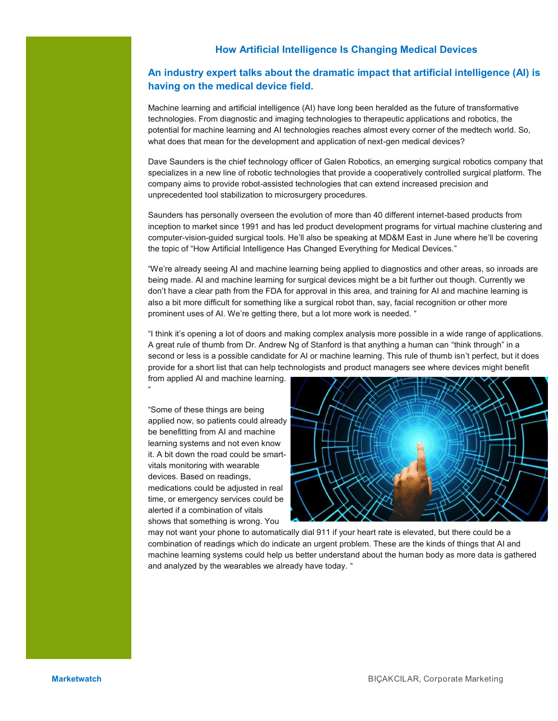#### **How Artificial Intelligence Is Changing Medical Devices**

#### **An industry expert talks about the dramatic impact that artificial intelligence (AI) is having on the medical device field.**

Machine learning and artificial intelligence (AI) have long been heralded as the future of transformative technologies. From diagnostic and imaging technologies to therapeutic applications and robotics, the potential for machine learning and AI technologies reaches almost every corner of the medtech world. So, what does that mean for the development and application of next-gen medical devices?

Dave Saunders is the chief technology officer of Galen Robotics, an emerging surgical robotics company that specializes in a new line of robotic technologies that provide a cooperatively controlled surgical platform. The company aims to provide robot-assisted technologies that can extend increased precision and unprecedented tool stabilization to microsurgery procedures.

Saunders has personally overseen the evolution of more than 40 different internet-based products from inception to market since 1991 and has led product development programs for virtual machine clustering and computer-vision-guided surgical tools. He'll also be speaking at MD&M East in June where he'll be covering the topic of "How Artificial Intelligence Has Changed Everything for Medical Devices."

"We're already seeing AI and machine learning being applied to diagnostics and other areas, so inroads are being made. AI and machine learning for surgical devices might be a bit further out though. Currently we don't have a clear path from the FDA for approval in this area, and training for AI and machine learning is also a bit more difficult for something like a surgical robot than, say, facial recognition or other more prominent uses of AI. We're getting there, but a lot more work is needed. "

"I think it's opening a lot of doors and making complex analysis more possible in a wide range of applications. A great rule of thumb from Dr. Andrew Ng of Stanford is that anything a human can "think through" in a second or less is a possible candidate for AI or machine learning. This rule of thumb isn't perfect, but it does provide for a short list that can help technologists and product managers see where devices might benefit from applied AI and machine learning.

"Some of these things are being applied now, so patients could already be benefitting from AI and machine learning systems and not even know it. A bit down the road could be smartvitals monitoring with wearable devices. Based on readings, medications could be adjusted in real time, or emergency services could be alerted if a combination of vitals shows that something is wrong. You

"



may not want your phone to automatically dial 911 if your heart rate is elevated, but there could be a combination of readings which do indicate an urgent problem. These are the kinds of things that AI and machine learning systems could help us better understand about the human body as more data is gathered and analyzed by the wearables we already have today. "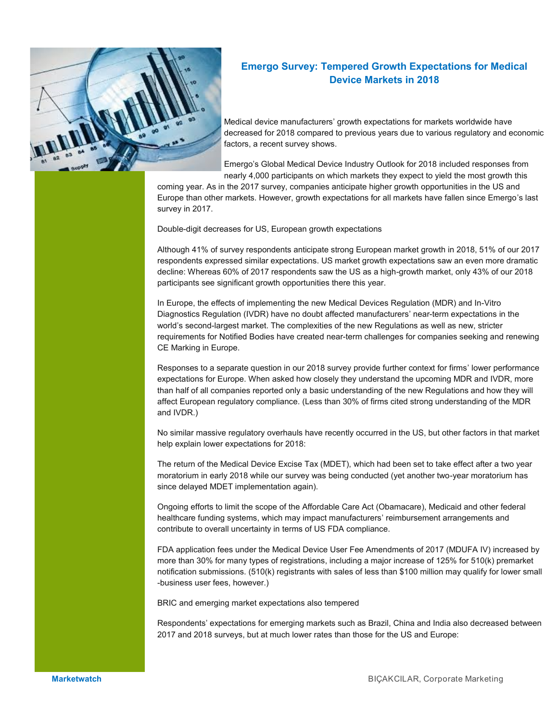

#### **Emergo Survey: Tempered Growth Expectations for Medical Device Markets in 2018**

Medical device manufacturers' growth expectations for markets worldwide have decreased for 2018 compared to previous years due to various regulatory and economic factors, a recent survey shows.

Emergo's Global Medical Device Industry Outlook for 2018 included responses from nearly 4,000 participants on which markets they expect to yield the most growth this

coming year. As in the 2017 survey, companies anticipate higher growth opportunities in the US and Europe than other markets. However, growth expectations for all markets have fallen since Emergo's last survey in 2017.

Double-digit decreases for US, European growth expectations

Although 41% of survey respondents anticipate strong European market growth in 2018, 51% of our 2017 respondents expressed similar expectations. US market growth expectations saw an even more dramatic decline: Whereas 60% of 2017 respondents saw the US as a high-growth market, only 43% of our 2018 participants see significant growth opportunities there this year.

In Europe, the effects of implementing the new Medical Devices Regulation (MDR) and In-Vitro Diagnostics Regulation (IVDR) have no doubt affected manufacturers' near-term expectations in the world's second-largest market. The complexities of the new Regulations as well as new, stricter requirements for Notified Bodies have created near-term challenges for companies seeking and renewing CE Marking in Europe.

Responses to a separate question in our 2018 survey provide further context for firms' lower performance expectations for Europe. When asked how closely they understand the upcoming MDR and IVDR, more than half of all companies reported only a basic understanding of the new Regulations and how they will affect European regulatory compliance. (Less than 30% of firms cited strong understanding of the MDR and IVDR.)

No similar massive regulatory overhauls have recently occurred in the US, but other factors in that market help explain lower expectations for 2018:

The return of the Medical Device Excise Tax (MDET), which had been set to take effect after a two year moratorium in early 2018 while our survey was being conducted (yet another two-year moratorium has since delayed MDET implementation again).

Ongoing efforts to limit the scope of the Affordable Care Act (Obamacare), Medicaid and other federal healthcare funding systems, which may impact manufacturers' reimbursement arrangements and contribute to overall uncertainty in terms of US FDA compliance.

FDA application fees under the Medical Device User Fee Amendments of 2017 (MDUFA IV) increased by more than 30% for many types of registrations, including a major increase of 125% for 510(k) premarket notification submissions. (510(k) registrants with sales of less than \$100 million may qualify for lower small -business user fees, however.)

BRIC and emerging market expectations also tempered

Respondents' expectations for emerging markets such as Brazil, China and India also decreased between 2017 and 2018 surveys, but at much lower rates than those for the US and Europe: